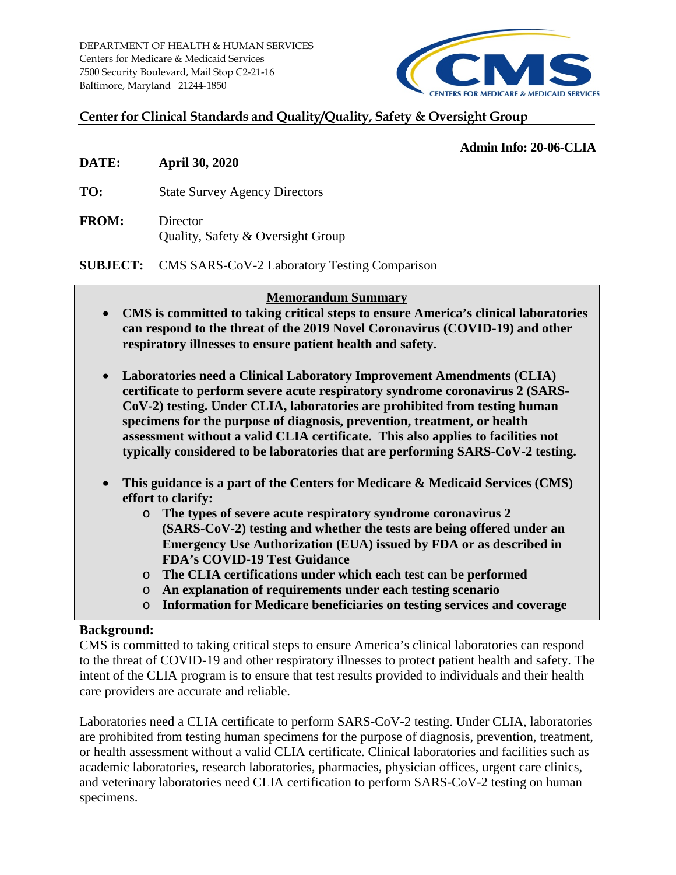DEPARTMENT OF HEALTH & HUMAN SERVICES Centers for Medicare & Medicaid Services 7500 Security Boulevard, Mail Stop C2-21-16 Baltimore, Maryland 21244-1850



## **Center for Clinical Standards and Quality/Quality, Safety & Oversight Group**

### **Admin Info: 20-06-CLIA**

- **DATE: April 30, 2020**
- **TO:** State Survey Agency Directors
- **FROM:** Director Quality, Safety & Oversight Group

**SUBJECT:** CMS SARS-CoV-2 Laboratory Testing Comparison

## **Memorandum Summary**

- **CMS is committed to taking critical steps to ensure America's clinical laboratories can respond to the threat of the 2019 Novel Coronavirus (COVID-19) and other respiratory illnesses to ensure patient health and safety.**
- **Laboratories need a Clinical Laboratory Improvement Amendments (CLIA) certificate to perform severe acute respiratory syndrome coronavirus 2 (SARS-CoV-2) testing. Under CLIA, laboratories are prohibited from testing human specimens for the purpose of diagnosis, prevention, treatment, or health assessment without a valid CLIA certificate. This also applies to facilities not typically considered to be laboratories that are performing SARS-CoV-2 testing.**
- **This guidance is a part of the Centers for Medicare & Medicaid Services (CMS) effort to clarify:**
	- o **The types of severe acute respiratory syndrome coronavirus 2 (SARS-CoV-2) testing and whether the tests are being offered under an Emergency Use Authorization (EUA) issued by FDA or as described in FDA's COVID-19 Test Guidance**
	- o **The CLIA certifications under which each test can be performed**
	- o **An explanation of requirements under each testing scenario**
	- o **Information for Medicare beneficiaries on testing services and coverage**

### **Background:**

CMS is committed to taking critical steps to ensure America's clinical laboratories can respond to the threat of COVID-19 and other respiratory illnesses to protect patient health and safety. The intent of the CLIA program is to ensure that test results provided to individuals and their health care providers are accurate and reliable.

Laboratories need a CLIA certificate to perform SARS-CoV-2 testing. Under CLIA, laboratories are prohibited from testing human specimens for the purpose of diagnosis, prevention, treatment, or health assessment without a valid CLIA certificate. Clinical laboratories and facilities such as academic laboratories, research laboratories, pharmacies, physician offices, urgent care clinics, and veterinary laboratories need CLIA certification to perform SARS-CoV-2 testing on human specimens.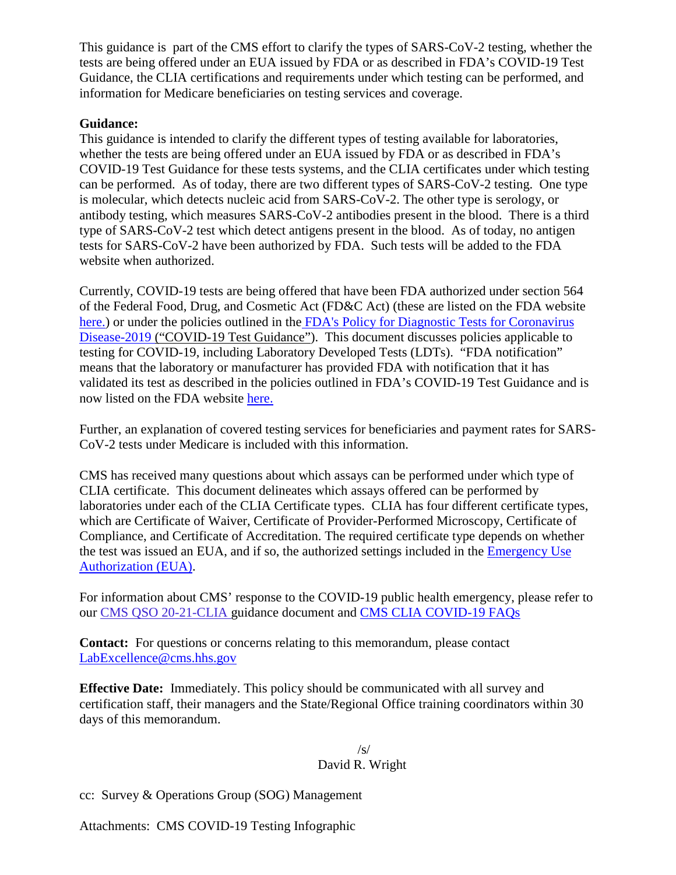This guidance is part of the CMS effort to clarify the types of SARS-CoV-2 testing, whether the tests are being offered under an EUA issued by FDA or as described in FDA's COVID-19 Test Guidance, the CLIA certifications and requirements under which testing can be performed, and information for Medicare beneficiaries on testing services and coverage.

## **Guidance:**

This guidance is intended to clarify the different types of testing available for laboratories, whether the tests are being offered under an EUA issued by FDA or as described in FDA's COVID-19 Test Guidance for these tests systems, and the CLIA certificates under which testing can be performed. As of today, there are two different types of SARS-CoV-2 testing. One type is molecular, which detects nucleic acid from SARS-CoV-2. The other type is serology, or antibody testing, which measures SARS-CoV-2 antibodies present in the blood. There is a third type of SARS-CoV-2 test which detect antigens present in the blood. As of today, no antigen tests for SARS-CoV-2 have been authorized by FDA. Such tests will be added to the FDA website when authorized.

Currently, COVID-19 tests are being offered that have been FDA authorized under section 564 of the Federal Food, Drug, and Cosmetic Act (FD&C Act) (these are listed on the FDA website [here.\)](https://www.fda.gov/medical-devices/emergency-situations-medical-devices/emergency-use-authorizations#covid19ivd) or under the policies outlined in the FDA's Policy for Diagnostic Tests for Coronavirus [Disease-2019](https://www.fda.gov/media/135659/download) ("COVID-19 Test Guidance"). This document discusses policies applicable to testing for COVID-19, including Laboratory Developed Tests (LDTs). "FDA notification" means that the laboratory or manufacturer has provided FDA with notification that it has validated its test as described in the policies outlined in FDA's COVID-19 Test Guidance and is now listed on the FDA website [here](https://www.fda.gov/medical-devices/emergency-situations-medical-devices/faqs-diagnostic-testing-sars-cov-2#offeringtests).

Further, an explanation of covered testing services for beneficiaries and payment rates for SARS-CoV-2 tests under Medicare is included with this information.

CMS has received many questions about which assays can be performed under which type of CLIA certificate. This document delineates which assays offered can be performed by laboratories under each of the CLIA Certificate types. CLIA has four different certificate types, which are Certificate of Waiver, Certificate of Provider-Performed Microscopy, Certificate of Compliance, and Certificate of Accreditation. The required certificate type depends on whether the test was issued an EUA, and if so, the authorized settings included in the [Emergency Use](https://www.fda.gov/medical-devices/emergency-situations-medical-devices/emergency-use-authorizations#covid19ivd)  [Authorization \(EUA\).](https://www.fda.gov/medical-devices/emergency-situations-medical-devices/emergency-use-authorizations#covid19ivd)

For information about CMS' response to the COVID-19 public health emergency, please refer to our [CMS QSO 20-21-CLIA](https://www.cms.gov/medicareprovider-enrollment-and-certificationsurveycertificationgeninfopolicy-and-memos-states-and/clinical-laboratory-improvement-amendments-clia-laboratory-guidance-during-covid-19-public-health) guidance document and [CMS CLIA COVID-19 FAQs](https://www.cms.gov/files/document/clia-laboratory-covid-19-emergency-frequently-asked-questions.pdf)

**Contact:** For questions or concerns relating to this memorandum, please contact LabExcellence@cms.hhs.gov

**Effective Date:** Immediately. This policy should be communicated with all survey and certification staff, their managers and the State/Regional Office training coordinators within 30 days of this memorandum.

### /s/ David R. Wright

cc: Survey & Operations Group (SOG) Management

Attachments: CMS COVID-19 Testing Infographic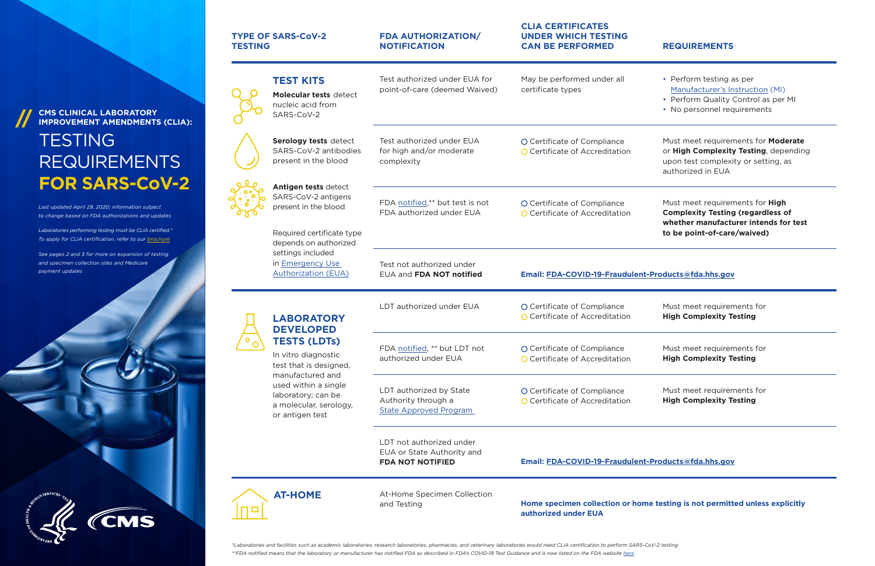## **CLIA CERTIFICATES UNDER WHICH TESTING CAN BE PERFORMED REQUIREMENTS**

May be performed under all

O Certificate of Compliance **O** Certificate of Accreditation

O Certificate of Compliance **O** Certificate of Accreditation

**O** Certificate of Accreditation

O Certificate of Compliance **O** Certificate of Accreditation

O Certificate of Compliance **O** Certificate of Accreditation

certificate types

- Perform testing as per [Manufacturer's Instruction](https://www.fda.gov/emergency-preparedness-and-response/mcm-legal-regulatory-and-policy-framework/emergency-use-authorization) (MI)
- Perform Quality Control as per MI
- No personnel requirements

Must meet requirements for **Moderate** or **High Complexity Testing**, depending upon test complexity or setting, as authorized in EUA

**AT-HOME** At-Home Specimen Collection and Testing

Must meet requirements for **High Complexity Testing (regardless of whether manufacturer intends for test to be point-of-care/waived)**

Test not authorized under EUA and **FDA NOT notified** 

LDT authorized under  $EUA$   $O$  Certificate of Compliance

## **TESTING** REQUIREMENTS **FOR SARS-CoV-2**

Must meet requirements for **High Complexity Testing**

FDA [notified](https://www.fda.gov/media/135659/download), \*\* but LDT not authorized under EUA

Must meet requirements for **High Complexity Testing**

LDT authorized by State Authority through a S[tate Approved Program](https://www.fda.gov/medical-devices/emergency-situations-medical-devices/faqs-diagnostic-testing-sars-cov-2) 

| <b>TYPE OF SARS-CoV-2</b><br><b>TESTING</b> |                                                                               | <b>FDA AUTHORIZATION/</b><br><b>NOTIFICATION</b>                    |
|---------------------------------------------|-------------------------------------------------------------------------------|---------------------------------------------------------------------|
|                                             | <b>TEST KITS</b><br>Molecular tests detect<br>nucleic acid from<br>SARS-CoV-2 | Test authorized under EUA for<br>point-of-care (deemed Waived)      |
|                                             | Serology tests detect<br>SARS-CoV-2 antibodies<br>present in the blood        | Test authorized under FUA<br>for high and/or moderate<br>complexity |
|                                             | Antigen tests detect<br>SARS-CoV-2 antigens<br>present in the blood           | FDA notified,** but test is not<br>FDA authorized under FUA         |
|                                             | Required certificate type<br>depends on authorized                            |                                                                     |

*\*Laboratories and facilities such as academic laboratories, research laboratories, pharmacies, and veterinary laboratories would need CLIA certification to perform SARS-CoV-2 testing* \*\*FDA notified means that the laboratory or manufacturer has notified FDA as described in FDA's COVID-19 Test Guidance and is now listed on the FDA website [here](https://www.fda.gov/medical-devices/emergency-situations-medical-devices/faqs-diagnostic-testing-sars-cov-2)

Must meet requirements for **High Complexity Testing**

LDT not authorized under EUA or State Authority and **FDA NOT NOTIFIED**

### **Email: [FDA-COVID-19-Fraudulent-Products@fda.hhs.gov](mailto:FDA-COVID-19-Fraudulent-Products%40fda.hhs.gov?subject=)**

### **Home specimen collection or home testing is not permitted unless explicitly**

**authorized under EUA**

**LABORATORY DEVELOPED TESTS (LDTs)** In vitro diagnostic test that is designed, manufactured and used within a single laboratory; can be a molecular, serology,

or antigen test

п о

## **CMS CLINICAL LABORATORY IMPROVEMENT AMENDMENTS (CLIA):**

*Last updated April 29, 2020; information subject to change based on FDA authorizations and updates*

*Laboratories performing testing must be CLIA certified.\* To apply for CLIA certification, refer to our [brochure](https://www.cms.gov/Regulations-and-Guidance/Legislation/CLIA/Downloads/HowObtainCLIACertificate.pdf)*





settings included in [Emergency Use](https://www.fda.gov/medical-devices/emergency-situations-medical-devices/emergency-use-authorizations)  [Authorization \(EUA\)](https://www.fda.gov/medical-devices/emergency-situations-medical-devices/emergency-use-authorizations)

**Email: [FDA-COVID-19-Fraudulent-Products@fda.hhs.gov](mailto:FDA-COVID-19-Fraudulent-Products%40fda.hhs.gov?subject=)**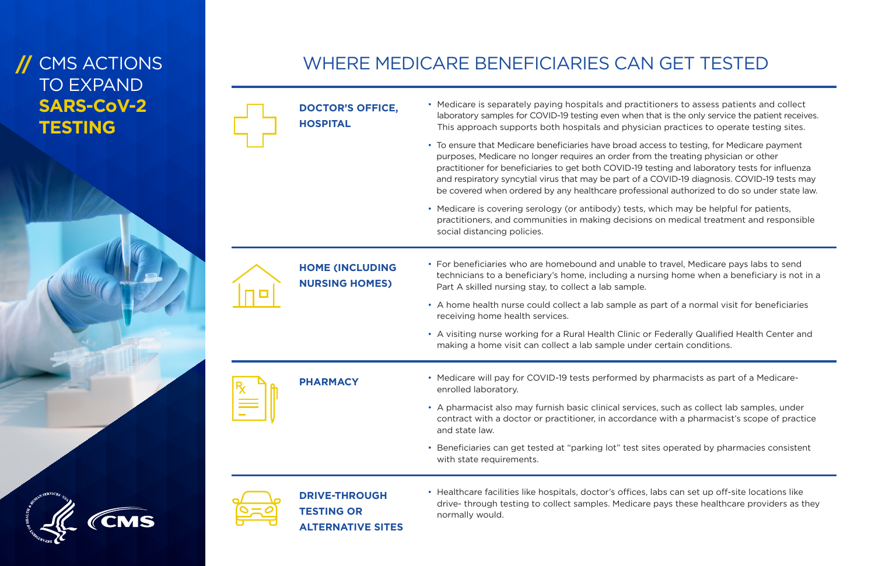**DOCTOR'S OFFICE, HOSPITAL**

- Medicare is separately paying hospitals and practitioners to assess patients and collect laboratory samples for COVID-19 testing even when that is the only service the patient receives. This approach supports both hospitals and physician practices to operate testing sites.
- To ensure that Medicare beneficiaries have broad access to testing, for Medicare payment purposes, Medicare no longer requires an order from the treating physician or other practitioner for beneficiaries to get both COVID-19 testing and laboratory tests for influenza and respiratory syncytial virus that may be part of a COVID-19 diagnosis. COVID-19 tests may be covered when ordered by any healthcare professional authorized to do so under state law.
- Medicare is covering serology (or antibody) tests, which may be helpful for patients, practitioners, and communities in making decisions on medical treatment and responsible social distancing policies.

**HOME (INCLUDING NURSING HOMES)**

## **// CMS ACTIONS** TO EXPAND **SARS-CoV-2 TESTING**

- For beneficiaries who are homebound and unable to travel, Medicare pays labs to send technicians to a beneficiary's home, including a nursing home when a beneficiary is not in a Part A skilled nursing stay, to collect a lab sample.
- A home health nurse could collect a lab sample as part of a normal visit for beneficiaries receiving home health services.
- A visiting nurse working for a Rural Health Clinic or Federally Qualified Health Center and making a home visit can collect a lab sample under certain conditions.
- **PHARMACY** Medicare will pay for COVID-19 tests performed by pharmacists as part of a Medicareenrolled laboratory.
	- A pharmacist also may furnish basic clinical services, such as collect lab samples, under contract with a doctor or practitioner, in accordance with a pharmacist's scope of practice and state law.
	- Beneficiaries can get tested at "parking lot" test sites operated by pharmacies consistent with state requirements.





**DRIVE-THROUGH TESTING OR ALTERNATIVE SITES** • Healthcare facilities like hospitals, doctor's offices, labs can set up off-site locations like drive- through testing to collect samples. Medicare pays these healthcare providers as they normally would.

## WHERE MEDICARE BENEFICIARIES CAN GET TESTED